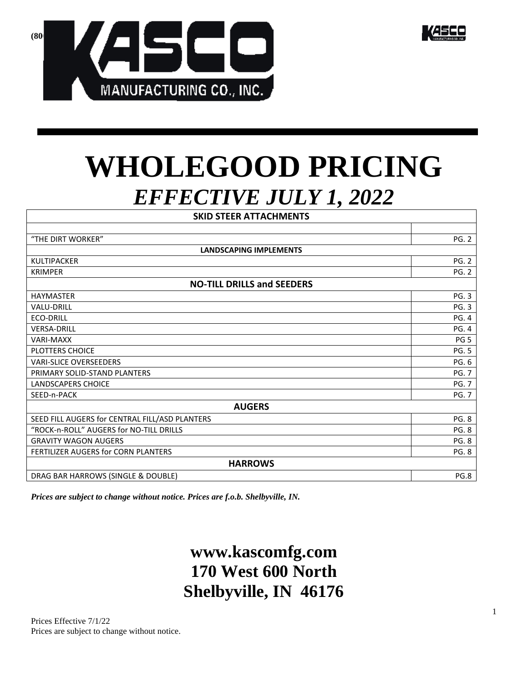



# **WHOLEGOOD PRICING** *EFFECTIVE JULY 1, 2022*

| <b>SKID STEER ATTACHMENTS</b>                  |                       |  |  |
|------------------------------------------------|-----------------------|--|--|
|                                                |                       |  |  |
| "THE DIRT WORKER"                              | <b>PG. 2</b>          |  |  |
| <b>LANDSCAPING IMPLEMENTS</b>                  |                       |  |  |
| KULTIPACKER                                    | <b>PG. 2</b>          |  |  |
| <b>KRIMPER</b>                                 | <b>PG. 2</b>          |  |  |
| <b>NO-TILL DRILLS and SEEDERS</b>              |                       |  |  |
| <b>HAYMASTER</b>                               | <b>PG. 3</b>          |  |  |
| <b>VALU-DRILL</b>                              | <b>PG. 3</b>          |  |  |
| <b>ECO-DRILL</b>                               | <b>PG. 4</b>          |  |  |
| <b>VERSA-DRILL</b>                             | <b>PG. 4</b>          |  |  |
| <b>VARI-MAXX</b>                               | PG <sub>5</sub>       |  |  |
| <b>PLOTTERS CHOICE</b>                         | <b>PG. 5</b>          |  |  |
| <b>VARI-SLICE OVERSEEDERS</b>                  | PG. 6<br><b>PG. 7</b> |  |  |
| PRIMARY SOLID-STAND PLANTERS                   |                       |  |  |
| <b>LANDSCAPERS CHOICE</b>                      | <b>PG. 7</b>          |  |  |
| SEED-n-PACK                                    | <b>PG. 7</b>          |  |  |
| <b>AUGERS</b>                                  |                       |  |  |
| SEED FILL AUGERS for CENTRAL FILL/ASD PLANTERS | <b>PG. 8</b>          |  |  |
| "ROCK-n-ROLL" AUGERS for NO-TILL DRILLS        | <b>PG. 8</b>          |  |  |
| <b>GRAVITY WAGON AUGERS</b>                    | <b>PG. 8</b>          |  |  |
| <b>FERTILIZER AUGERS for CORN PLANTERS</b>     |                       |  |  |
| <b>HARROWS</b>                                 |                       |  |  |
| DRAG BAR HARROWS (SINGLE & DOUBLE)             | PG.8                  |  |  |

*Prices are subject to change without notice. Prices are f.o.b. Shelbyville, IN.* 

# **www.kascomfg.com 170 West 600 North Shelbyville, IN 46176**

Prices Effective 7/1/22 Prices are subject to change without notice.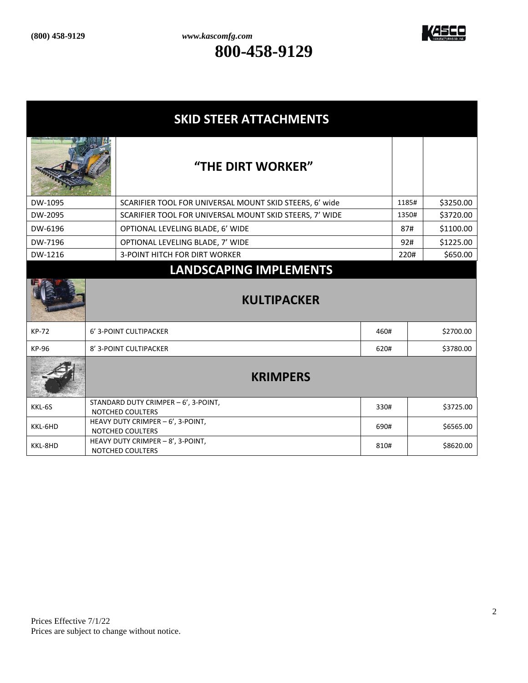

| <b>SKID STEER ATTACHMENTS</b> |                 |                                                              |      |       |           |
|-------------------------------|-----------------|--------------------------------------------------------------|------|-------|-----------|
|                               |                 | "THE DIRT WORKER"                                            |      |       |           |
| DW-1095                       |                 | SCARIFIER TOOL FOR UNIVERSAL MOUNT SKID STEERS, 6' wide      |      | 1185# | \$3250.00 |
| DW-2095                       |                 | SCARIFIER TOOL FOR UNIVERSAL MOUNT SKID STEERS, 7' WIDE      |      | 1350# | \$3720.00 |
| DW-6196                       |                 | OPTIONAL LEVELING BLADE, 6' WIDE                             |      | 87#   | \$1100.00 |
| DW-7196                       |                 | OPTIONAL LEVELING BLADE, 7' WIDE                             |      | 92#   | \$1225.00 |
| DW-1216                       |                 | <b>3-POINT HITCH FOR DIRT WORKER</b>                         |      | 220#  | \$650.00  |
|                               |                 | <b>LANDSCAPING IMPLEMENTS</b>                                |      |       |           |
| <b>KULTIPACKER</b>            |                 |                                                              |      |       |           |
| <b>KP-72</b>                  |                 | 6' 3-POINT CULTIPACKER                                       | 460# |       | \$2700.00 |
| <b>KP-96</b>                  |                 | 8' 3-POINT CULTIPACKER                                       | 620# |       | \$3780.00 |
|                               | <b>KRIMPERS</b> |                                                              |      |       |           |
| KKL-6S                        |                 | STANDARD DUTY CRIMPER - 6', 3-POINT,<br>NOTCHED COULTERS     | 330# |       | \$3725.00 |
| KKL-6HD                       |                 | HEAVY DUTY CRIMPER - 6', 3-POINT,<br><b>NOTCHED COULTERS</b> | 690# |       | \$6565.00 |
| KKL-8HD                       |                 | HEAVY DUTY CRIMPER - 8', 3-POINT,<br>NOTCHED COULTERS        | 810# |       | \$8620.00 |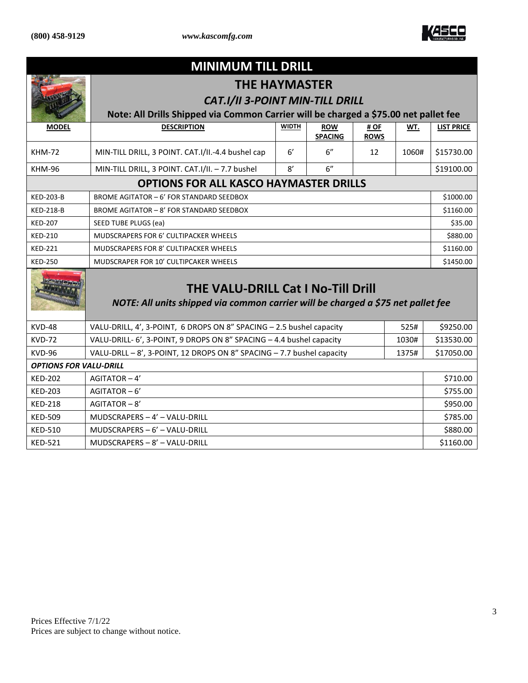

| <b>MINIMUM TILL DRILL</b>                                                                                                     |                                                                                      |              |                              |                     |           |                   |
|-------------------------------------------------------------------------------------------------------------------------------|--------------------------------------------------------------------------------------|--------------|------------------------------|---------------------|-----------|-------------------|
|                                                                                                                               | <b>THE HAYMASTER</b>                                                                 |              |                              |                     |           |                   |
|                                                                                                                               | <b>CAT.I/II 3-POINT MIN-TILL DRILL</b>                                               |              |                              |                     |           |                   |
|                                                                                                                               | Note: All Drills Shipped via Common Carrier will be charged a \$75.00 net pallet fee |              |                              |                     |           |                   |
| <b>MODEL</b>                                                                                                                  | <b>DESCRIPTION</b>                                                                   | <b>WIDTH</b> | <b>ROW</b><br><b>SPACING</b> | # OF<br><b>ROWS</b> | WT.       | <b>LIST PRICE</b> |
| <b>KHM-72</b>                                                                                                                 | MIN-TILL DRILL, 3 POINT. CAT.I/II.-4.4 bushel cap                                    | 6'           | 6"                           | 12                  | 1060#     | \$15730.00        |
| <b>KHM-96</b>                                                                                                                 | MIN-TILL DRILL, 3 POINT. CAT.I/II. - 7.7 bushel                                      | 8'           | 6"                           |                     |           | \$19100.00        |
|                                                                                                                               | <b>OPTIONS FOR ALL KASCO HAYMASTER DRILLS</b>                                        |              |                              |                     |           |                   |
| <b>KED-203-B</b>                                                                                                              | BROME AGITATOR - 6' FOR STANDARD SEEDBOX                                             |              |                              |                     |           | \$1000.00         |
| <b>KED-218-B</b>                                                                                                              | BROME AGITATOR - 8' FOR STANDARD SEEDBOX                                             |              |                              |                     |           | \$1160.00         |
| <b>KED-207</b>                                                                                                                | SEED TUBE PLUGS (ea)                                                                 |              |                              |                     | \$35.00   |                   |
| <b>KED-210</b>                                                                                                                | MUDSCRAPERS FOR 6' CULTIPACKER WHEELS                                                |              |                              |                     | \$880.00  |                   |
| <b>KED-221</b>                                                                                                                | <b>MUDSCRAPERS FOR 8' CULTIPACKER WHEELS</b>                                         |              |                              |                     |           | \$1160.00         |
| <b>KED-250</b>                                                                                                                | MUDSCRAPER FOR 10' CULTIPCAKER WHEELS                                                |              |                              |                     |           | \$1450.00         |
| <b>THE VALU-DRILL Cat I No-Till Drill</b><br>NOTE: All units shipped via common carrier will be charged a \$75 net pallet fee |                                                                                      |              |                              |                     |           |                   |
| <b>KVD-48</b>                                                                                                                 | VALU-DRILL, 4', 3-POINT, 6 DROPS ON 8" SPACING - 2.5 bushel capacity                 |              |                              |                     | 525#      | \$9250.00         |
| <b>KVD-72</b>                                                                                                                 | VALU-DRILL- 6', 3-POINT, 9 DROPS ON 8" SPACING - 4.4 bushel capacity<br>1030#        |              |                              | \$13530.00          |           |                   |
| <b>KVD-96</b>                                                                                                                 | VALU-DRLL - 8', 3-POINT, 12 DROPS ON 8" SPACING - 7.7 bushel capacity<br>1375#       |              |                              |                     |           | \$17050.00        |
| <b>OPTIONS FOR VALU-DRILL</b>                                                                                                 |                                                                                      |              |                              |                     |           |                   |
| <b>KED-202</b>                                                                                                                | AGITATOR-4'                                                                          |              |                              |                     |           | \$710.00          |
| <b>KED-203</b>                                                                                                                | $AGITATOR - 6'$                                                                      |              |                              |                     | \$755.00  |                   |
| <b>KED-218</b>                                                                                                                | AGITATOR-8'                                                                          |              |                              |                     |           | \$950.00          |
| <b>KED-509</b>                                                                                                                | MUDSCRAPERS - 4' - VALU-DRILL                                                        |              |                              |                     | \$785.00  |                   |
| <b>KED-510</b>                                                                                                                | MUDSCRAPERS - 6' - VALU-DRILL                                                        |              |                              |                     | \$880.00  |                   |
| <b>KED-521</b>                                                                                                                | MUDSCRAPERS - 8' - VALU-DRILL                                                        |              |                              |                     | \$1160.00 |                   |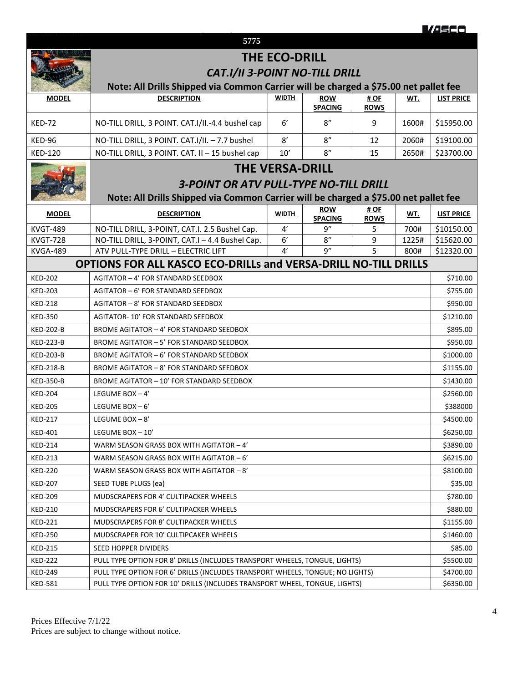|                  |                                                                                                                               |                        |                |                     |           | <u>VASCO</u>      |
|------------------|-------------------------------------------------------------------------------------------------------------------------------|------------------------|----------------|---------------------|-----------|-------------------|
|                  | 5775                                                                                                                          |                        |                |                     |           |                   |
|                  |                                                                                                                               |                        |                |                     |           |                   |
|                  | <b>THE ECO-DRILL</b>                                                                                                          |                        |                |                     |           |                   |
|                  | <b>CAT.I/II 3-POINT NO-TILL DRILL</b><br>Note: All Drills Shipped via Common Carrier will be charged a \$75.00 net pallet fee |                        |                |                     |           |                   |
| <b>MODEL</b>     | <b>DESCRIPTION</b>                                                                                                            | <b>WIDTH</b>           | <b>ROW</b>     | # OF                | WT.       | <b>LIST PRICE</b> |
|                  |                                                                                                                               |                        | <b>SPACING</b> | <b>ROWS</b>         |           |                   |
| <b>KED-72</b>    | NO-TILL DRILL, 3 POINT. CAT.I/II.-4.4 bushel cap                                                                              | $6^{\prime}$           | 8''            | 9                   | 1600#     | \$15950.00        |
| KED-96           | NO-TILL DRILL, 3 POINT. CAT.I/II. - 7.7 bushel                                                                                | 8'                     | 8''            | 12                  | 2060#     | \$19100.00        |
| <b>KED-120</b>   | NO-TILL DRILL, 3 POINT. CAT. II - 15 bushel cap                                                                               | 10'                    | 8''            | 15                  | 2650#     | \$23700.00        |
|                  |                                                                                                                               | <b>THE VERSA-DRILL</b> |                |                     |           |                   |
|                  | <b>3-POINT OR ATV PULL-TYPE NO-TILL DRILL</b>                                                                                 |                        |                |                     |           |                   |
|                  |                                                                                                                               |                        |                |                     |           |                   |
|                  | Note: All Drills Shipped via Common Carrier will be charged a \$75.00 net pallet fee                                          |                        | <b>ROW</b>     |                     |           |                   |
| <b>MODEL</b>     | <b>DESCRIPTION</b>                                                                                                            | <b>WIDTH</b>           | <b>SPACING</b> | # OF<br><b>ROWS</b> | WT.       | <b>LIST PRICE</b> |
| <b>KVGT-489</b>  | NO-TILL DRILL, 3-POINT, CAT.I. 2.5 Bushel Cap.                                                                                | 4'                     | 9''            | 5                   | 700#      | \$10150.00        |
| <b>KVGT-728</b>  | NO-TILL DRILL, 3-POINT, CAT.I - 4.4 Bushel Cap.                                                                               | 6'                     | 8''            | 9                   | 1225#     | \$15620.00        |
| <b>KVGA-489</b>  | ATV PULL-TYPE DRILL - ELECTRIC LIFT                                                                                           | 4'                     | q''            | 5                   | 800#      | \$12320.00        |
|                  | <b>OPTIONS FOR ALL KASCO ECO-DRILLs and VERSA-DRILL NO-TILL DRILLS</b>                                                        |                        |                |                     |           |                   |
| <b>KED-202</b>   | AGITATOR - 4' FOR STANDARD SEEDBOX                                                                                            |                        |                |                     |           | \$710.00          |
| <b>KED-203</b>   | AGITATOR - 6' FOR STANDARD SEEDBOX                                                                                            |                        |                |                     |           | \$755.00          |
| <b>KED-218</b>   | AGITATOR - 8' FOR STANDARD SEEDBOX                                                                                            |                        |                |                     |           | \$950.00          |
| <b>KED-350</b>   | <b>AGITATOR-10' FOR STANDARD SEEDBOX</b>                                                                                      |                        |                |                     |           | \$1210.00         |
| <b>KED-202-B</b> | BROME AGITATOR - 4' FOR STANDARD SEEDBOX                                                                                      |                        |                |                     |           | \$895.00          |
| <b>KED-223-B</b> | BROME AGITATOR - 5' FOR STANDARD SEEDBOX                                                                                      |                        |                |                     |           | \$950.00          |
| KED-203-B        | BROME AGITATOR - 6' FOR STANDARD SEEDBOX                                                                                      |                        |                |                     |           | \$1000.00         |
| <b>KED-218-B</b> | BROME AGITATOR - 8' FOR STANDARD SEEDBOX                                                                                      |                        |                |                     |           | \$1155.00         |
| KED-350-B        | BROME AGITATOR - 10' FOR STANDARD SEEDBOX                                                                                     |                        |                |                     |           | \$1430.00         |
| <b>KED-204</b>   | LEGUME BOX $-4'$                                                                                                              |                        |                |                     |           | \$2560.00         |
| <b>KED-205</b>   | LEGUME BOX $-6'$                                                                                                              |                        |                |                     |           | \$388000          |
| <b>KED-217</b>   | LEGUME BOX-8'                                                                                                                 |                        |                |                     |           | \$4500.00         |
| <b>KED-401</b>   | LEGUME BOX-10'                                                                                                                |                        |                |                     |           | \$6250.00         |
| <b>KED-214</b>   | WARM SEASON GRASS BOX WITH AGITATOR - 4'                                                                                      |                        |                |                     |           | \$3890.00         |
| <b>KED-213</b>   | WARM SEASON GRASS BOX WITH AGITATOR - 6'                                                                                      |                        |                |                     |           | \$6215.00         |
| <b>KED-220</b>   | WARM SEASON GRASS BOX WITH AGITATOR - 8'                                                                                      |                        |                |                     |           | \$8100.00         |
| <b>KED-207</b>   | SEED TUBE PLUGS (ea)                                                                                                          |                        |                |                     |           | \$35.00           |
| <b>KED-209</b>   | <b>MUDSCRAPERS FOR 4' CULTIPACKER WHEELS</b>                                                                                  |                        |                |                     |           | \$780.00          |
| <b>KED-210</b>   | MUDSCRAPERS FOR 6' CULTIPACKER WHEELS                                                                                         |                        |                |                     |           | \$880.00          |
| <b>KED-221</b>   | MUDSCRAPERS FOR 8' CULTIPACKER WHEELS                                                                                         |                        |                |                     | \$1155.00 |                   |
| <b>KED-250</b>   | MUDSCRAPER FOR 10' CULTIPCAKER WHEELS                                                                                         |                        |                |                     | \$1460.00 |                   |
| <b>KED-215</b>   | SEED HOPPER DIVIDERS                                                                                                          |                        |                |                     | \$85.00   |                   |
| <b>KED-222</b>   | PULL TYPE OPTION FOR 8' DRILLS (INCLUDES TRANSPORT WHEELS, TONGUE, LIGHTS)                                                    |                        |                |                     |           | \$5500.00         |
| <b>KED-249</b>   | PULL TYPE OPTION FOR 6' DRILLS (INCLUDES TRANSPORT WHEELS, TONGUE; NO LIGHTS)                                                 |                        |                |                     | \$4700.00 |                   |
| <b>KED-581</b>   | PULL TYPE OPTION FOR 10' DRILLS (INCLUDES TRANSPORT WHEEL, TONGUE, LIGHTS)                                                    |                        |                |                     |           | \$6350.00         |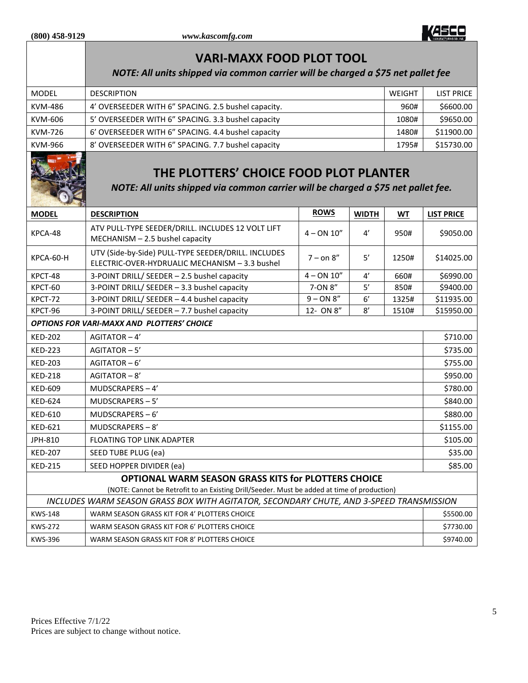

|                                                                                                                                                    | <b>VARI-MAXX FOOD PLOT TOOL</b>                                                                                             |              |              |           |                   |
|----------------------------------------------------------------------------------------------------------------------------------------------------|-----------------------------------------------------------------------------------------------------------------------------|--------------|--------------|-----------|-------------------|
|                                                                                                                                                    | NOTE: All units shipped via common carrier will be charged a \$75 net pallet fee                                            |              |              |           |                   |
| <b>MODEL</b>                                                                                                                                       | <b>DESCRIPTION</b>                                                                                                          |              |              | WEIGHT    | <b>LIST PRICE</b> |
| <b>KVM-486</b>                                                                                                                                     | 4' OVERSEEDER WITH 6" SPACING. 2.5 bushel capacity.                                                                         |              |              | 960#      | \$6600.00         |
| KVM-606                                                                                                                                            | 5' OVERSEEDER WITH 6" SPACING. 3.3 bushel capacity                                                                          |              |              | 1080#     | \$9650.00         |
| <b>KVM-726</b>                                                                                                                                     | 6' OVERSEEDER WITH 6" SPACING. 4.4 bushel capacity                                                                          |              |              | 1480#     | \$11900.00        |
| KVM-966                                                                                                                                            | 8' OVERSEEDER WITH 6" SPACING. 7.7 bushel capacity                                                                          |              |              | 1795#     | \$15730.00        |
|                                                                                                                                                    | THE PLOTTERS' CHOICE FOOD PLOT PLANTER<br>NOTE: All units shipped via common carrier will be charged a \$75 net pallet fee. |              |              |           |                   |
| <b>MODEL</b>                                                                                                                                       | <b>DESCRIPTION</b>                                                                                                          | <b>ROWS</b>  | <b>WIDTH</b> | WT        | <b>LIST PRICE</b> |
| KPCA-48                                                                                                                                            | ATV PULL-TYPE SEEDER/DRILL. INCLUDES 12 VOLT LIFT<br>MECHANISM - 2.5 bushel capacity                                        | $4 - ON 10"$ | 4'           | 950#      | \$9050.00         |
| KPCA-60-H                                                                                                                                          | UTV (Side-by-Side) PULL-TYPE SEEDER/DRILL. INCLUDES<br>ELECTRIC-OVER-HYDRUALIC MECHANISM - 3.3 bushel                       | $7 - on 8"$  | 5'           | 1250#     | \$14025.00        |
| KPCT-48                                                                                                                                            | 3-POINT DRILL/ SEEDER - 2.5 bushel capacity                                                                                 | $4 - ON 10"$ | $4^{\prime}$ | 660#      | \$6990.00         |
| KPCT-60                                                                                                                                            | 3-POINT DRILL/ SEEDER - 3.3 bushel capacity                                                                                 | 7-ON 8"      | $5'$         | 850#      | \$9400.00         |
| KPCT-72                                                                                                                                            | 3-POINT DRILL/ SEEDER - 4.4 bushel capacity                                                                                 | $9 - ON 8"$  | $6^{\prime}$ | 1325#     | \$11935.00        |
| KPCT-96                                                                                                                                            | 3-POINT DRILL/ SEEDER - 7.7 bushel capacity                                                                                 | 12- ON 8"    | 8'           | 1510#     | \$15950.00        |
|                                                                                                                                                    | <b>OPTIONS FOR VARI-MAXX AND PLOTTERS' CHOICE</b>                                                                           |              |              |           |                   |
| <b>KED-202</b>                                                                                                                                     | AGITATOR-4'                                                                                                                 |              |              |           | \$710.00          |
| <b>KED-223</b>                                                                                                                                     | AGITATOR-5'                                                                                                                 |              |              |           | \$735.00          |
| <b>KED-203</b>                                                                                                                                     | AGITATOR-6'                                                                                                                 |              |              |           | \$755.00          |
| <b>KED-218</b>                                                                                                                                     | AGITATOR-8'                                                                                                                 |              |              |           |                   |
| <b>KED-609</b>                                                                                                                                     | MUDSCRAPERS-4'                                                                                                              |              |              |           | \$780.00          |
| <b>KED-624</b>                                                                                                                                     | MUDSCRAPERS-5'                                                                                                              |              |              |           | \$840.00          |
| <b>KED-610</b>                                                                                                                                     | MUDSCRAPERS-6'                                                                                                              |              |              |           | \$880.00          |
| <b>KED-621</b>                                                                                                                                     | MUDSCRAPERS-8'                                                                                                              |              |              |           | \$1155.00         |
| JPH-810                                                                                                                                            | <b>FLOATING TOP LINK ADAPTER</b>                                                                                            |              |              |           | \$105.00          |
| <b>KED-207</b>                                                                                                                                     | SEED TUBE PLUG (ea)                                                                                                         |              |              |           | \$35.00           |
| <b>KED-215</b>                                                                                                                                     | SEED HOPPER DIVIDER (ea)                                                                                                    |              |              |           | \$85.00           |
| OPTIONAL WARM SEASON GRASS KITS for PLOTTERS CHOICE<br>(NOTE: Cannot be Retrofit to an Existing Drill/Seeder. Must be added at time of production) |                                                                                                                             |              |              |           |                   |
| INCLUDES WARM SEASON GRASS BOX WITH AGITATOR, SECONDARY CHUTE, AND 3-SPEED TRANSMISSION                                                            |                                                                                                                             |              |              |           |                   |
| <b>KWS-148</b>                                                                                                                                     | WARM SEASON GRASS KIT FOR 4' PLOTTERS CHOICE                                                                                |              |              |           | \$5500.00         |
| <b>KWS-272</b>                                                                                                                                     | WARM SEASON GRASS KIT FOR 6' PLOTTERS CHOICE                                                                                |              |              | \$7730.00 |                   |
| <b>KWS-396</b>                                                                                                                                     | WARM SEASON GRASS KIT FOR 8' PLOTTERS CHOICE                                                                                |              |              | \$9740.00 |                   |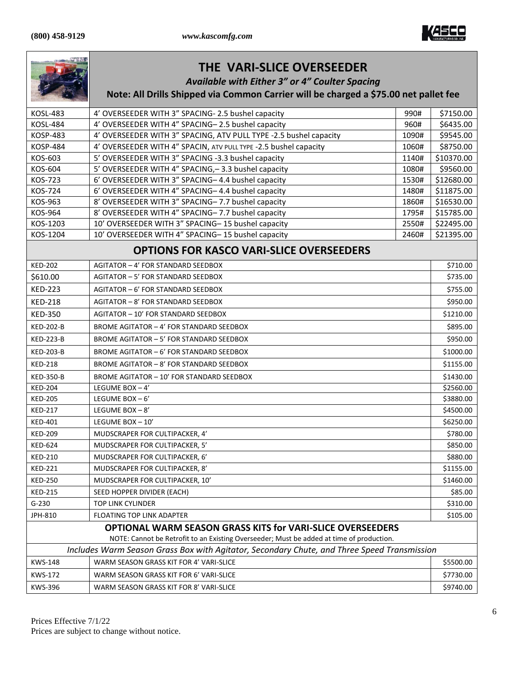

|                                                                                                                                                                                         | <b>THE VARI-SLICE OVERSEEDER</b><br><b>Available with Either 3" or 4" Coulter Spacing</b><br>Note: All Drills Shipped via Common Carrier will be charged a \$75.00 net pallet fee |            |  |  |
|-----------------------------------------------------------------------------------------------------------------------------------------------------------------------------------------|-----------------------------------------------------------------------------------------------------------------------------------------------------------------------------------|------------|--|--|
| <b>KOSL-483</b>                                                                                                                                                                         | 4' OVERSEEDER WITH 3" SPACING- 2.5 bushel capacity<br>990#                                                                                                                        | \$7150.00  |  |  |
| <b>KOSL-484</b>                                                                                                                                                                         | 4' OVERSEEDER WITH 4" SPACING-2.5 bushel capacity<br>960#                                                                                                                         | \$6435.00  |  |  |
| <b>KOSP-483</b>                                                                                                                                                                         | 4' OVERSEEDER WITH 3" SPACING, ATV PULL TYPE -2.5 bushel capacity<br>1090#                                                                                                        | \$9545.00  |  |  |
| <b>KOSP-484</b>                                                                                                                                                                         | 4' OVERSEEDER WITH 4" SPACIN, ATV PULL TYPE -2.5 bushel capacity<br>1060#                                                                                                         | \$8750.00  |  |  |
| KOS-603                                                                                                                                                                                 | 5' OVERSEEDER WITH 3" SPACING -3.3 bushel capacity<br>1140#                                                                                                                       | \$10370.00 |  |  |
| KOS-604                                                                                                                                                                                 | 5' OVERSEEDER WITH 4" SPACING, - 3.3 bushel capacity<br>1080#                                                                                                                     | \$9560.00  |  |  |
| <b>KOS-723</b>                                                                                                                                                                          | 6' OVERSEEDER WITH 3" SPACING-4.4 bushel capacity<br>1530#                                                                                                                        | \$12680.00 |  |  |
| <b>KOS-724</b>                                                                                                                                                                          | 6' OVERSEEDER WITH 4" SPACING-4.4 bushel capacity<br>1480#                                                                                                                        | \$11875.00 |  |  |
| KOS-963                                                                                                                                                                                 | 8' OVERSEEDER WITH 3" SPACING- 7.7 bushel capacity<br>1860#                                                                                                                       | \$16530.00 |  |  |
| KOS-964                                                                                                                                                                                 | 8' OVERSEEDER WITH 4" SPACING- 7.7 bushel capacity<br>1795#                                                                                                                       | \$15785.00 |  |  |
| KOS-1203                                                                                                                                                                                | 10' OVERSEEDER WITH 3" SPACING-15 bushel capacity<br>2550#                                                                                                                        | \$22495.00 |  |  |
| KOS-1204                                                                                                                                                                                | 10' OVERSEEDER WITH 4" SPACING-15 bushel capacity<br>2460#                                                                                                                        | \$21395.00 |  |  |
|                                                                                                                                                                                         | <b>OPTIONS FOR KASCO VARI-SLICE OVERSEEDERS</b>                                                                                                                                   |            |  |  |
| <b>KED-202</b>                                                                                                                                                                          | AGITATOR - 4' FOR STANDARD SEEDBOX                                                                                                                                                | \$710.00   |  |  |
| \$610.00                                                                                                                                                                                | AGITATOR - 5' FOR STANDARD SEEDBOX                                                                                                                                                | \$735.00   |  |  |
| <b>KED-223</b>                                                                                                                                                                          | AGITATOR - 6' FOR STANDARD SEEDBOX                                                                                                                                                | \$755.00   |  |  |
| <b>KED-218</b>                                                                                                                                                                          | AGITATOR - 8' FOR STANDARD SEEDBOX                                                                                                                                                | \$950.00   |  |  |
| <b>KED-350</b>                                                                                                                                                                          | AGITATOR - 10' FOR STANDARD SEEDBOX                                                                                                                                               | \$1210.00  |  |  |
| <b>KED-202-B</b>                                                                                                                                                                        | BROME AGITATOR - 4' FOR STANDARD SEEDBOX                                                                                                                                          | \$895.00   |  |  |
| <b>KED-223-B</b>                                                                                                                                                                        | BROME AGITATOR - 5' FOR STANDARD SEEDBOX                                                                                                                                          | \$950.00   |  |  |
| <b>KED-203-B</b><br>BROME AGITATOR - 6' FOR STANDARD SEEDBOX                                                                                                                            |                                                                                                                                                                                   | \$1000.00  |  |  |
| <b>KED-218</b><br>BROME AGITATOR - 8' FOR STANDARD SEEDBOX                                                                                                                              |                                                                                                                                                                                   | \$1155.00  |  |  |
| <b>KED-350-B</b><br>BROME AGITATOR - 10' FOR STANDARD SEEDBOX                                                                                                                           |                                                                                                                                                                                   | \$1430.00  |  |  |
| <b>KED-204</b>                                                                                                                                                                          | LEGUME BOX-4'                                                                                                                                                                     | \$2560.00  |  |  |
| <b>KED-205</b>                                                                                                                                                                          | LEGUME BOX $-6'$                                                                                                                                                                  | \$3880.00  |  |  |
| <b>KED-217</b>                                                                                                                                                                          | LEGUME BOX $-8'$                                                                                                                                                                  | \$4500.00  |  |  |
| <b>KED-401</b>                                                                                                                                                                          | LEGUME BOX - 10'                                                                                                                                                                  | \$6250.00  |  |  |
| <b>KED-209</b>                                                                                                                                                                          | MUDSCRAPER FOR CULTIPACKER, 4'                                                                                                                                                    | \$780.00   |  |  |
| <b>KED-624</b>                                                                                                                                                                          | MUDSCRAPER FOR CULTIPACKER, 5'                                                                                                                                                    | \$850.00   |  |  |
| <b>KED-210</b>                                                                                                                                                                          | MUDSCRAPER FOR CULTIPACKER, 6'                                                                                                                                                    | \$880.00   |  |  |
| <b>KED-221</b>                                                                                                                                                                          | MUDSCRAPER FOR CULTIPACKER, 8'                                                                                                                                                    | \$1155.00  |  |  |
| <b>KED-250</b>                                                                                                                                                                          | MUDSCRAPER FOR CULTIPACKER, 10'                                                                                                                                                   | \$1460.00  |  |  |
| <b>KED-215</b>                                                                                                                                                                          | SEED HOPPER DIVIDER (EACH)                                                                                                                                                        | \$85.00    |  |  |
| $G-230$                                                                                                                                                                                 | <b>TOP LINK CYLINDER</b>                                                                                                                                                          | \$310.00   |  |  |
| JPH-810                                                                                                                                                                                 | FLOATING TOP LINK ADAPTER                                                                                                                                                         | \$105.00   |  |  |
| OPTIONAL WARM SEASON GRASS KITS for VARI-SLICE OVERSEEDERS                                                                                                                              |                                                                                                                                                                                   |            |  |  |
| NOTE: Cannot be Retrofit to an Existing Overseeder; Must be added at time of production.<br>Includes Warm Season Grass Box with Agitator, Secondary Chute, and Three Speed Transmission |                                                                                                                                                                                   |            |  |  |
| <b>KWS-148</b>                                                                                                                                                                          | WARM SEASON GRASS KIT FOR 4' VARI-SLICE                                                                                                                                           | \$5500.00  |  |  |
| <b>KWS-172</b>                                                                                                                                                                          | WARM SEASON GRASS KIT FOR 6' VARI-SLICE                                                                                                                                           | \$7730.00  |  |  |
| <b>KWS-396</b>                                                                                                                                                                          | WARM SEASON GRASS KIT FOR 8' VARI-SLICE                                                                                                                                           | \$9740.00  |  |  |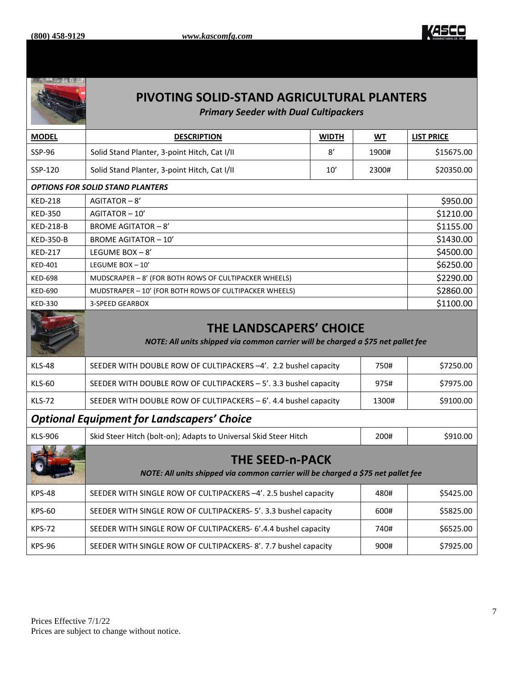



## **PIVOTING SOLID-STAND AGRICULTURAL PLANTERS**

*Primary Seeder with Dual Cultipackers*

| <b>MODEL</b>                                      | <b>DESCRIPTION</b>                                                                                                 | <b>WIDTH</b> | <b>WT</b> | <b>LIST PRICE</b> |  |
|---------------------------------------------------|--------------------------------------------------------------------------------------------------------------------|--------------|-----------|-------------------|--|
| SSP-96                                            | Solid Stand Planter, 3-point Hitch, Cat I/II                                                                       | 8'           | 1900#     | \$15675.00        |  |
| SSP-120                                           | Solid Stand Planter, 3-point Hitch, Cat I/II                                                                       | 10'          | 2300#     | \$20350.00        |  |
|                                                   | <b>OPTIONS FOR SOLID STAND PLANTERS</b>                                                                            |              |           |                   |  |
| <b>KED-218</b>                                    | AGITATOR-8'                                                                                                        |              |           | \$950.00          |  |
| <b>KED-350</b>                                    | AGITATOR-10'                                                                                                       |              |           | \$1210.00         |  |
| <b>KED-218-B</b>                                  | <b>BROME AGITATOR - 8'</b>                                                                                         |              |           | \$1155.00         |  |
| <b>KED-350-B</b>                                  | <b>BROME AGITATOR - 10'</b>                                                                                        |              |           | \$1430.00         |  |
| <b>KED-217</b>                                    | LEGUME BOX-8'                                                                                                      |              |           | \$4500.00         |  |
| <b>KED-401</b>                                    | LEGUME BOX - 10'                                                                                                   |              |           | \$6250.00         |  |
| <b>KED-698</b>                                    | MUDSCRAPER - 8' (FOR BOTH ROWS OF CULTIPACKER WHEELS)                                                              |              |           | \$2290.00         |  |
| <b>KED-690</b>                                    | MUDSTRAPER - 10' (FOR BOTH ROWS OF CULTIPACKER WHEELS)                                                             |              |           | \$2860.00         |  |
| <b>KED-330</b>                                    | <b>3-SPEED GEARBOX</b>                                                                                             |              |           | \$1100.00         |  |
|                                                   | <b>THE LANDSCAPERS' CHOICE</b><br>NOTE: All units shipped via common carrier will be charged a \$75 net pallet fee |              |           |                   |  |
| <b>KLS-48</b>                                     | SEEDER WITH DOUBLE ROW OF CULTIPACKERS -4'. 2.2 bushel capacity<br>750#                                            |              |           | \$7250.00         |  |
| <b>KLS-60</b>                                     | SEEDER WITH DOUBLE ROW OF CULTIPACKERS - 5'. 3.3 bushel capacity                                                   |              | 975#      | \$7975.00         |  |
| <b>KLS-72</b>                                     | SEEDER WITH DOUBLE ROW OF CULTIPACKERS - 6'. 4.4 bushel capacity<br>1300#                                          |              |           | \$9100.00         |  |
| <b>Optional Equipment for Landscapers' Choice</b> |                                                                                                                    |              |           |                   |  |
| <b>KLS-906</b>                                    | Skid Steer Hitch (bolt-on); Adapts to Universal Skid Steer Hitch<br>200#                                           |              |           | \$910.00          |  |
|                                                   | <b>THE SEED-n-PACK</b><br>NOTE: All units shipped via common carrier will be charged a \$75 net pallet fee         |              |           |                   |  |
| <b>KPS-48</b>                                     | SEEDER WITH SINGLE ROW OF CULTIPACKERS -4'. 2.5 bushel capacity                                                    |              | 480#      | \$5425.00         |  |
| <b>KPS-60</b>                                     | SEEDER WITH SINGLE ROW OF CULTIPACKERS- 5'. 3.3 bushel capacity                                                    |              | 600#      | \$5825.00         |  |
| <b>KPS-72</b>                                     | SEEDER WITH SINGLE ROW OF CULTIPACKERS- 6'.4.4 bushel capacity<br>740#                                             |              |           | \$6525.00         |  |
| <b>KPS-96</b>                                     | SEEDER WITH SINGLE ROW OF CULTIPACKERS-8'. 7.7 bushel capacity<br>900#                                             |              |           | \$7925.00         |  |